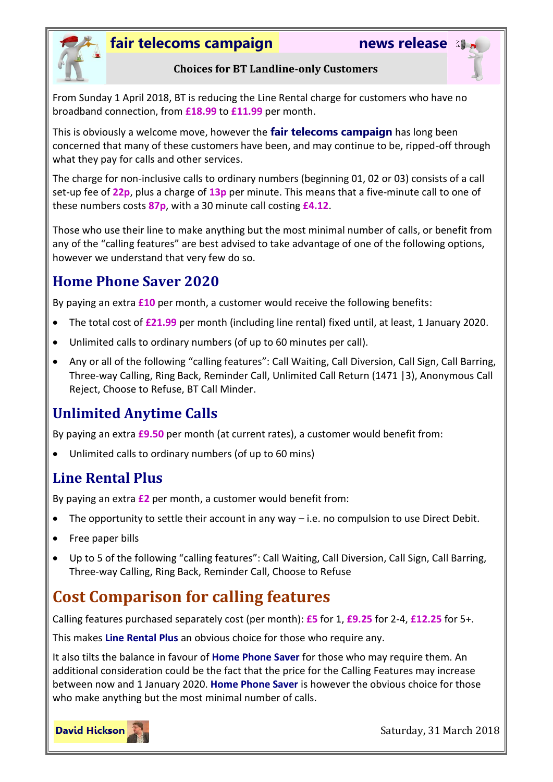

#### **fair telecoms campaign news release**



#### **Choices for BT Landline-only Customers**

From Sunday 1 April 2018, BT is reducing the Line Rental charge for customers who have no broadband connection, from **£18.99** to **£11.99** per month.

This is obviously a welcome move, however the **fair telecoms campaign** has long been concerned that many of these customers have been, and may continue to be, ripped-off through what they pay for calls and other services.

The charge for non-inclusive calls to ordinary numbers (beginning 01, 02 or 03) consists of a call set-up fee of **22p**, plus a charge of **13p** per minute. This means that a five-minute call to one of these numbers costs **87p**, with a 30 minute call costing **£4.12**.

Those who use their line to make anything but the most minimal number of calls, or benefit from any of the "calling features" are best advised to take advantage of one of the following options, however we understand that very few do so.

#### **Home Phone Saver 2020**

By paying an extra **£10** per month, a customer would receive the following benefits:

- The total cost of **£21.99** per month (including line rental) fixed until, at least, 1 January 2020.
- Unlimited calls to ordinary numbers (of up to 60 minutes per call).
- Any or all of the following "calling features": Call Waiting, Call Diversion, Call Sign, Call Barring, Three-way Calling, Ring Back, Reminder Call, Unlimited Call Return (1471 |3), Anonymous Call Reject, Choose to Refuse, BT Call Minder.

## **Unlimited Anytime Calls**

By paying an extra **£9.50** per month (at current rates), a customer would benefit from:

Unlimited calls to ordinary numbers (of up to 60 mins)

## **Line Rental Plus**

By paying an extra **£2** per month, a customer would benefit from:

- The opportunity to settle their account in any way i.e. no compulsion to use Direct Debit.
- Free paper bills
- Up to 5 of the following "calling features": Call Waiting, Call Diversion, Call Sign, Call Barring, Three-way Calling, Ring Back, Reminder Call, Choose to Refuse

# **Cost Comparison for calling features**

Calling features purchased separately cost (per month): **£5** for 1, **£9.25** for 2-4, **£12.25** for 5+.

This makes **Line Rental Plus** an obvious choice for those who require any.

It also tilts the balance in favour of **Home Phone Saver** for those who may require them. An additional consideration could be the fact that the price for the Calling Features may increase between now and 1 January 2020. **Home Phone Saver** is however the obvious choice for those who make anything but the most minimal number of calls.



Saturday, 31 March 2018